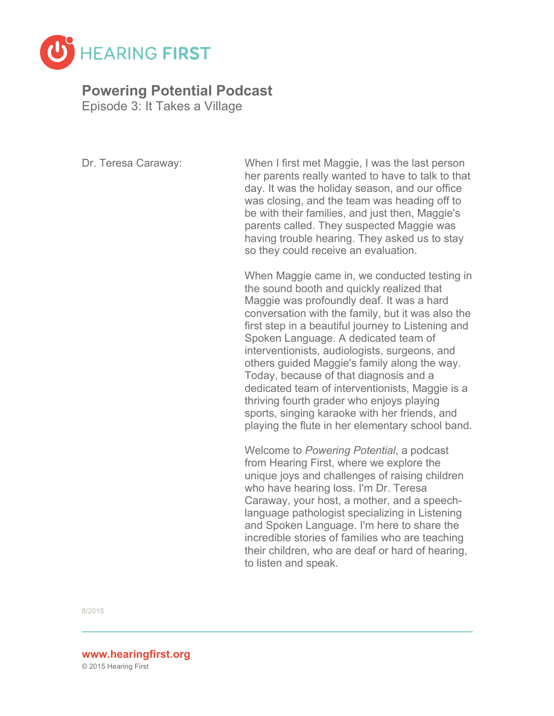

## **Powering Potential Podcast**

Episode 3: It Takes a Village

Dr. Teresa Caraway: When I first met Maggie, I was the last person her parents really wanted to have to talk to that day. It was the holiday season, and our office was closing, and the team was heading off to be with their families, and just then, Maggie's parents called. They suspected Maggie was having trouble hearing. They asked us to stay so they could receive an evaluation.

> When Maggie came in, we conducted testing in the sound booth and quickly realized that Maggie was profoundly deaf. It was a hard conversation with the family, but it was also the first step in a beautiful journey to Listening and Spoken Language. A dedicated team of interventionists, audiologists, surgeons, and others guided Maggie's family along the way. Today, because of that diagnosis and a dedicated team of interventionists, Maggie is a thriving fourth grader who enjoys playing sports, singing karaoke with her friends, and playing the flute in her elementary school band.

Welcome to *Powering Potential*, a podcast from Hearing First, where we explore the unique joys and challenges of raising children who have hearing loss. I'm Dr. Teresa Caraway, your host, a mother, and a speechlanguage pathologist specializing in Listening and Spoken Language. I'm here to share the incredible stories of families who are teaching their children, who are deaf or hard of hearing, to listen and speak.

8/2015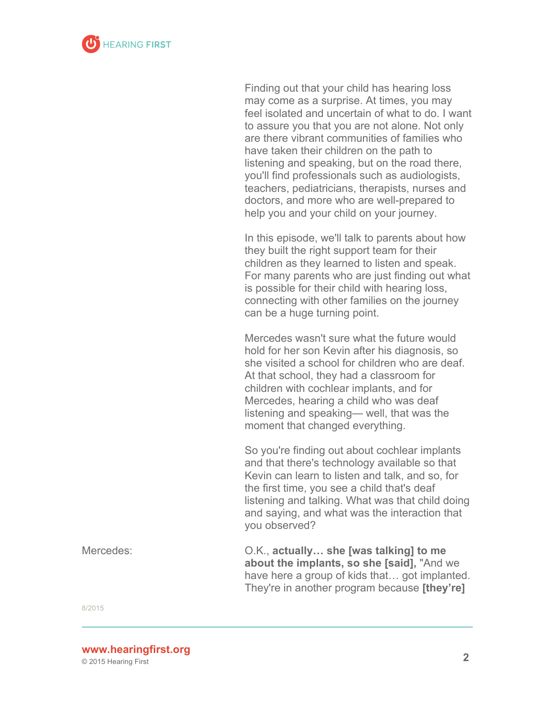

Finding out that your child has hearing loss may come as a surprise. At times, you may feel isolated and uncertain of what to do. I want to assure you that you are not alone. Not only are there vibrant communities of families who have taken their children on the path to listening and speaking, but on the road there, you'll find professionals such as audiologists, teachers, pediatricians, therapists, nurses and doctors, and more who are well-prepared to help you and your child on your journey.

In this episode, we'll talk to parents about how they built the right support team for their children as they learned to listen and speak. For many parents who are just finding out what is possible for their child with hearing loss, connecting with other families on the journey can be a huge turning point.

Mercedes wasn't sure what the future would hold for her son Kevin after his diagnosis, so she visited a school for children who are deaf. At that school, they had a classroom for children with cochlear implants, and for Mercedes, hearing a child who was deaf listening and speaking— well, that was the moment that changed everything.

So you're finding out about cochlear implants and that there's technology available so that Kevin can learn to listen and talk, and so, for the first time, you see a child that's deaf listening and talking. What was that child doing and saying, and what was the interaction that you observed?

Mercedes: O.K., **actually… she [was talking] to me about the implants, so she [said],** "And we have here a group of kids that… got implanted. They're in another program because **[they're]**

8/2015

**<sup>2</sup> www.hearingfirst.org**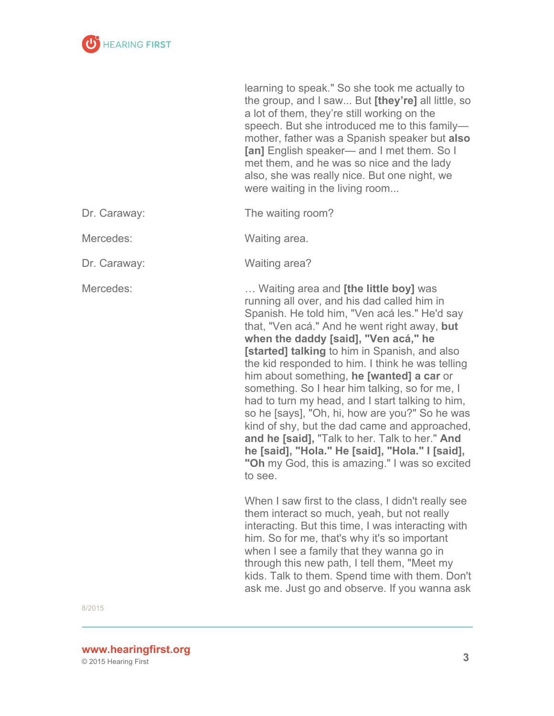

learning to speak." So she took me actually to the group, and I saw... But **[they're]** all little, so a lot of them, they're still working on the speech. But she introduced me to this family mother, father was a Spanish speaker but **also [an]** English speaker— and I met them. So I met them, and he was so nice and the lady also, she was really nice. But one night, we were waiting in the living room...

Dr. Caraway: The waiting room?

Mercedes: Waiting area.

Dr. Caraway: Waiting area?

Mercedes: … Waiting area and **[the little boy]** was running all over, and his dad called him in Spanish. He told him, "Ven acá les." He'd say that, "Ven acá." And he went right away, **but when the daddy [said], "Ven acá," he [started] talking** to him in Spanish, and also the kid responded to him. I think he was telling him about something, **he [wanted] a car** or something. So I hear him talking, so for me, I had to turn my head, and I start talking to him, so he [says], "Oh, hi, how are you?" So he was kind of shy, but the dad came and approached, **and he [said],** "Talk to her. Talk to her." **And he [said], "Hola." He [said], "Hola." I [said], "Oh** my God, this is amazing." I was so excited to see.

> When I saw first to the class, I didn't really see them interact so much, yeah, but not really interacting. But this time, I was interacting with him. So for me, that's why it's so important when I see a family that they wanna go in through this new path, I tell them, "Meet my kids. Talk to them. Spend time with them. Don't ask me. Just go and observe. If you wanna ask

8/2015

**<sup>3</sup> www.hearingfirst.org**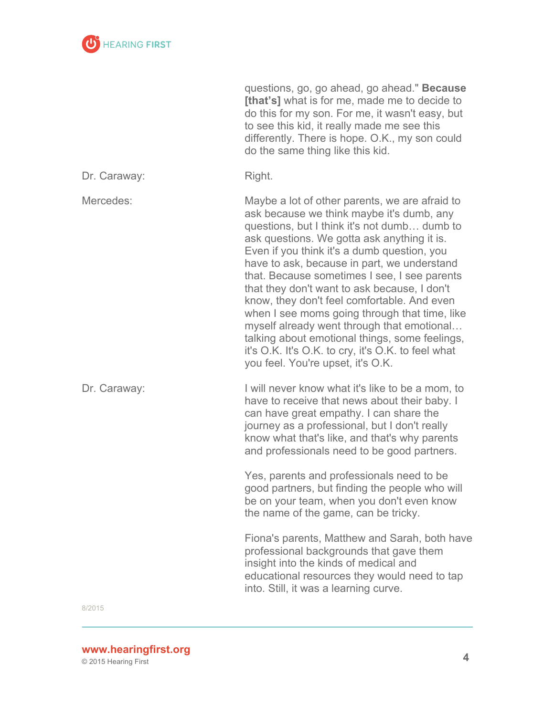

questions, go, go ahead, go ahead." **Because [that's]** what is for me, made me to decide to do this for my son. For me, it wasn't easy, but to see this kid, it really made me see this differently. There is hope. O.K., my son could do the same thing like this kid.

| Dr. Caraway: | Right. |
|--------------|--------|
|--------------|--------|

Mercedes: Maybe a lot of other parents, we are afraid to ask because we think maybe it's dumb, any questions, but I think it's not dumb… dumb to ask questions. We gotta ask anything it is. Even if you think it's a dumb question, you have to ask, because in part, we understand that. Because sometimes I see, I see parents that they don't want to ask because, I don't know, they don't feel comfortable. And even when I see moms going through that time, like myself already went through that emotional… talking about emotional things, some feelings, it's O.K. It's O.K. to cry, it's O.K. to feel what you feel. You're upset, it's O.K.

Dr. Caraway:  $\qquad \qquad$  I will never know what it's like to be a mom, to have to receive that news about their baby. I can have great empathy. I can share the journey as a professional, but I don't really know what that's like, and that's why parents and professionals need to be good partners.

> Yes, parents and professionals need to be good partners, but finding the people who will be on your team, when you don't even know the name of the game, can be tricky.

Fiona's parents, Matthew and Sarah, both have professional backgrounds that gave them insight into the kinds of medical and educational resources they would need to tap into. Still, it was a learning curve.

8/2015

**<sup>4</sup> www.hearingfirst.org**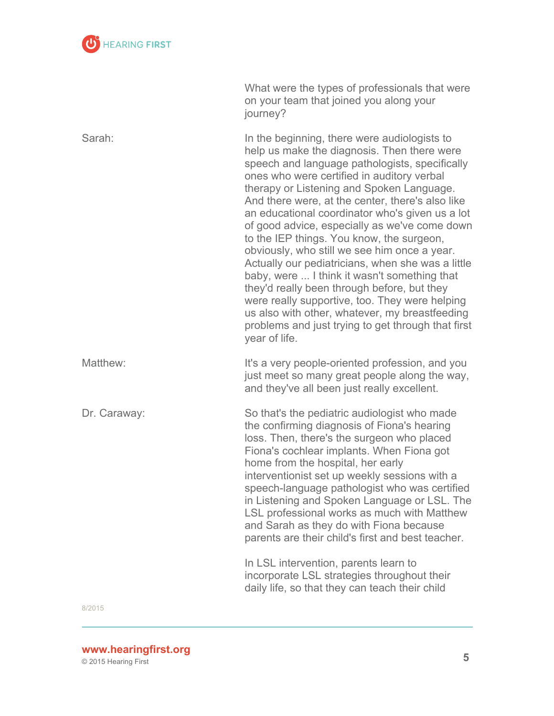

|              | What were the types of professionals that were<br>on your team that joined you along your<br>journey?                                                                                                                                                                                                                                                                                                                                                                                                                                                                                                                                                                                                                                                                                                                        |
|--------------|------------------------------------------------------------------------------------------------------------------------------------------------------------------------------------------------------------------------------------------------------------------------------------------------------------------------------------------------------------------------------------------------------------------------------------------------------------------------------------------------------------------------------------------------------------------------------------------------------------------------------------------------------------------------------------------------------------------------------------------------------------------------------------------------------------------------------|
| Sarah:       | In the beginning, there were audiologists to<br>help us make the diagnosis. Then there were<br>speech and language pathologists, specifically<br>ones who were certified in auditory verbal<br>therapy or Listening and Spoken Language.<br>And there were, at the center, there's also like<br>an educational coordinator who's given us a lot<br>of good advice, especially as we've come down<br>to the IEP things. You know, the surgeon,<br>obviously, who still we see him once a year.<br>Actually our pediatricians, when she was a little<br>baby, were  I think it wasn't something that<br>they'd really been through before, but they<br>were really supportive, too. They were helping<br>us also with other, whatever, my breastfeeding<br>problems and just trying to get through that first<br>year of life. |
| Matthew:     | It's a very people-oriented profession, and you<br>just meet so many great people along the way,<br>and they've all been just really excellent.                                                                                                                                                                                                                                                                                                                                                                                                                                                                                                                                                                                                                                                                              |
| Dr. Caraway: | So that's the pediatric audiologist who made<br>the confirming diagnosis of Fiona's hearing<br>loss. Then, there's the surgeon who placed<br>Fiona's cochlear implants. When Fiona got<br>home from the hospital, her early<br>interventionist set up weekly sessions with a<br>speech-language pathologist who was certified<br>in Listening and Spoken Language or LSL. The<br>LSL professional works as much with Matthew<br>and Sarah as they do with Fiona because<br>parents are their child's first and best teacher.                                                                                                                                                                                                                                                                                                 |
|              | In LSL intervention, parents learn to<br>incorporate LSL strategies throughout their<br>daily life, so that they can teach their child                                                                                                                                                                                                                                                                                                                                                                                                                                                                                                                                                                                                                                                                                       |

## **<sup>5</sup> www.hearingfirst.org**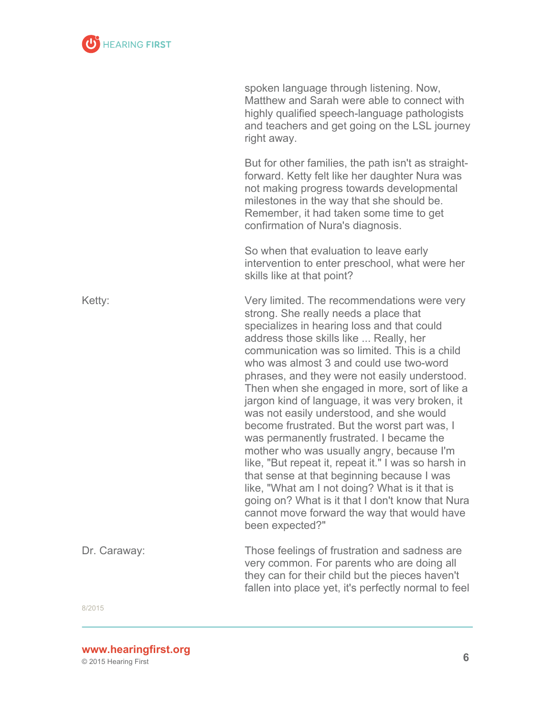

|              | spoken language through listening. Now,<br>Matthew and Sarah were able to connect with<br>highly qualified speech-language pathologists<br>and teachers and get going on the LSL journey<br>right away.                                                                                                                                                                                                                                                                                                                                                                                                                                                                                                                                                                                                                                                                                         |
|--------------|-------------------------------------------------------------------------------------------------------------------------------------------------------------------------------------------------------------------------------------------------------------------------------------------------------------------------------------------------------------------------------------------------------------------------------------------------------------------------------------------------------------------------------------------------------------------------------------------------------------------------------------------------------------------------------------------------------------------------------------------------------------------------------------------------------------------------------------------------------------------------------------------------|
|              | But for other families, the path isn't as straight-<br>forward. Ketty felt like her daughter Nura was<br>not making progress towards developmental<br>milestones in the way that she should be.<br>Remember, it had taken some time to get<br>confirmation of Nura's diagnosis.                                                                                                                                                                                                                                                                                                                                                                                                                                                                                                                                                                                                                 |
|              | So when that evaluation to leave early<br>intervention to enter preschool, what were her<br>skills like at that point?                                                                                                                                                                                                                                                                                                                                                                                                                                                                                                                                                                                                                                                                                                                                                                          |
| Ketty:       | Very limited. The recommendations were very<br>strong. She really needs a place that<br>specializes in hearing loss and that could<br>address those skills like  Really, her<br>communication was so limited. This is a child<br>who was almost 3 and could use two-word<br>phrases, and they were not easily understood.<br>Then when she engaged in more, sort of like a<br>jargon kind of language, it was very broken, it<br>was not easily understood, and she would<br>become frustrated. But the worst part was, I<br>was permanently frustrated. I became the<br>mother who was usually angry, because I'm<br>like, "But repeat it, repeat it." I was so harsh in<br>that sense at that beginning because I was<br>like, "What am I not doing? What is it that is<br>going on? What is it that I don't know that Nura<br>cannot move forward the way that would have<br>been expected?" |
| Dr. Caraway: | Those feelings of frustration and sadness are<br>very common. For parents who are doing all<br>they can for their child but the pieces haven't<br>fallen into place yet, it's perfectly normal to feel                                                                                                                                                                                                                                                                                                                                                                                                                                                                                                                                                                                                                                                                                          |

**<sup>6</sup> www.hearingfirst.org**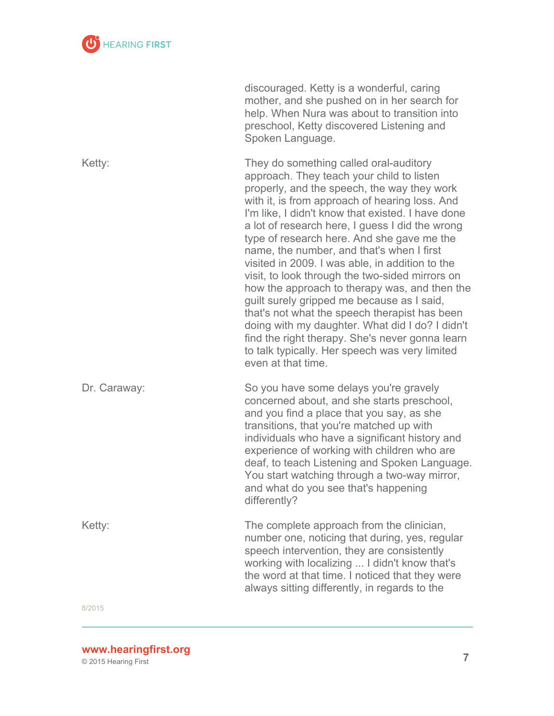

|              | discouraged. Ketty is a wonderful, caring<br>mother, and she pushed on in her search for<br>help. When Nura was about to transition into<br>preschool, Ketty discovered Listening and<br>Spoken Language.                                                                                                                                                                                                                                                                                                                                                                                                                                                                                                                                                                                                                   |
|--------------|-----------------------------------------------------------------------------------------------------------------------------------------------------------------------------------------------------------------------------------------------------------------------------------------------------------------------------------------------------------------------------------------------------------------------------------------------------------------------------------------------------------------------------------------------------------------------------------------------------------------------------------------------------------------------------------------------------------------------------------------------------------------------------------------------------------------------------|
| Ketty:       | They do something called oral-auditory<br>approach. They teach your child to listen<br>properly, and the speech, the way they work<br>with it, is from approach of hearing loss. And<br>I'm like, I didn't know that existed. I have done<br>a lot of research here, I guess I did the wrong<br>type of research here. And she gave me the<br>name, the number, and that's when I first<br>visited in 2009. I was able, in addition to the<br>visit, to look through the two-sided mirrors on<br>how the approach to therapy was, and then the<br>guilt surely gripped me because as I said,<br>that's not what the speech therapist has been<br>doing with my daughter. What did I do? I didn't<br>find the right therapy. She's never gonna learn<br>to talk typically. Her speech was very limited<br>even at that time. |
| Dr. Caraway: | So you have some delays you're gravely<br>concerned about, and she starts preschool,<br>and you find a place that you say, as she<br>transitions, that you're matched up with<br>individuals who have a significant history and<br>experience of working with children who are<br>deaf, to teach Listening and Spoken Language.<br>You start watching through a two-way mirror,<br>and what do you see that's happening<br>differently?                                                                                                                                                                                                                                                                                                                                                                                     |
| Ketty:       | The complete approach from the clinician,<br>number one, noticing that during, yes, regular                                                                                                                                                                                                                                                                                                                                                                                                                                                                                                                                                                                                                                                                                                                                 |

speech intervention, they are consistently working with localizing ... I didn't know that's the word at that time. I noticed that they were always sitting differently, in regards to the

8/2015

**<sup>7</sup> www.hearingfirst.org**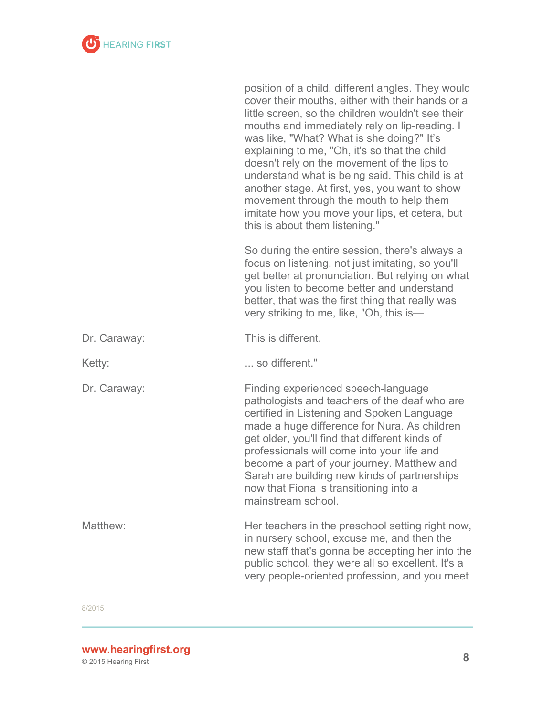

|              | position of a child, different angles. They would<br>cover their mouths, either with their hands or a<br>little screen, so the children wouldn't see their<br>mouths and immediately rely on lip-reading. I<br>was like, "What? What is she doing?" It's<br>explaining to me, "Oh, it's so that the child<br>doesn't rely on the movement of the lips to<br>understand what is being said. This child is at<br>another stage. At first, yes, you want to show<br>movement through the mouth to help them<br>imitate how you move your lips, et cetera, but<br>this is about them listening." |
|--------------|----------------------------------------------------------------------------------------------------------------------------------------------------------------------------------------------------------------------------------------------------------------------------------------------------------------------------------------------------------------------------------------------------------------------------------------------------------------------------------------------------------------------------------------------------------------------------------------------|
|              | So during the entire session, there's always a<br>focus on listening, not just imitating, so you'll<br>get better at pronunciation. But relying on what<br>you listen to become better and understand<br>better, that was the first thing that really was<br>very striking to me, like, "Oh, this is-                                                                                                                                                                                                                                                                                        |
| Dr. Caraway: | This is different.                                                                                                                                                                                                                                                                                                                                                                                                                                                                                                                                                                           |
| Ketty:       | so different."                                                                                                                                                                                                                                                                                                                                                                                                                                                                                                                                                                               |
| Dr. Caraway: | Finding experienced speech-language<br>pathologists and teachers of the deaf who are<br>certified in Listening and Spoken Language<br>made a huge difference for Nura. As children<br>get older, you'll find that different kinds of<br>professionals will come into your life and<br>become a part of your journey. Matthew and<br>Sarah are building new kinds of partnerships<br>now that Fiona is transitioning into a<br>mainstream school.                                                                                                                                             |
| Matthew:     | Her teachers in the preschool setting right now,<br>in nursery school, excuse me, and then the<br>new staff that's gonna be accepting her into the<br>public school, they were all so excellent. It's a<br>very people-oriented profession, and you meet                                                                                                                                                                                                                                                                                                                                     |

**<sup>8</sup> www.hearingfirst.org**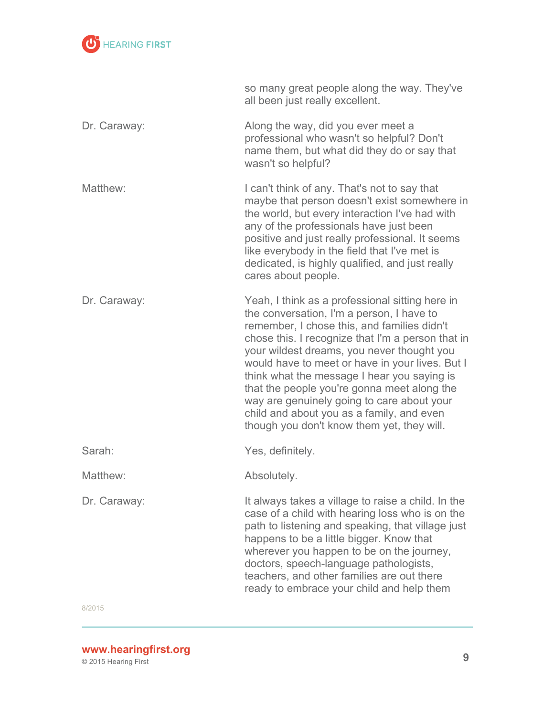

|              | so many great people along the way. They've<br>all been just really excellent.                                                                                                                                                                                                                                                                                                                                                                                                                                                           |
|--------------|------------------------------------------------------------------------------------------------------------------------------------------------------------------------------------------------------------------------------------------------------------------------------------------------------------------------------------------------------------------------------------------------------------------------------------------------------------------------------------------------------------------------------------------|
| Dr. Caraway: | Along the way, did you ever meet a<br>professional who wasn't so helpful? Don't<br>name them, but what did they do or say that<br>wasn't so helpful?                                                                                                                                                                                                                                                                                                                                                                                     |
| Matthew:     | I can't think of any. That's not to say that<br>maybe that person doesn't exist somewhere in<br>the world, but every interaction I've had with<br>any of the professionals have just been<br>positive and just really professional. It seems<br>like everybody in the field that I've met is<br>dedicated, is highly qualified, and just really<br>cares about people.                                                                                                                                                                   |
| Dr. Caraway: | Yeah, I think as a professional sitting here in<br>the conversation, I'm a person, I have to<br>remember, I chose this, and families didn't<br>chose this. I recognize that I'm a person that in<br>your wildest dreams, you never thought you<br>would have to meet or have in your lives. But I<br>think what the message I hear you saying is<br>that the people you're gonna meet along the<br>way are genuinely going to care about your<br>child and about you as a family, and even<br>though you don't know them yet, they will. |
| Sarah:       | Yes, definitely.                                                                                                                                                                                                                                                                                                                                                                                                                                                                                                                         |
| Matthew:     | Absolutely.                                                                                                                                                                                                                                                                                                                                                                                                                                                                                                                              |
| Dr. Caraway: | It always takes a village to raise a child. In the<br>case of a child with hearing loss who is on the<br>path to listening and speaking, that village just<br>happens to be a little bigger. Know that<br>wherever you happen to be on the journey,<br>doctors, speech-language pathologists,<br>teachers, and other families are out there<br>ready to embrace your child and help them                                                                                                                                                 |

**<sup>9</sup> www.hearingfirst.org**